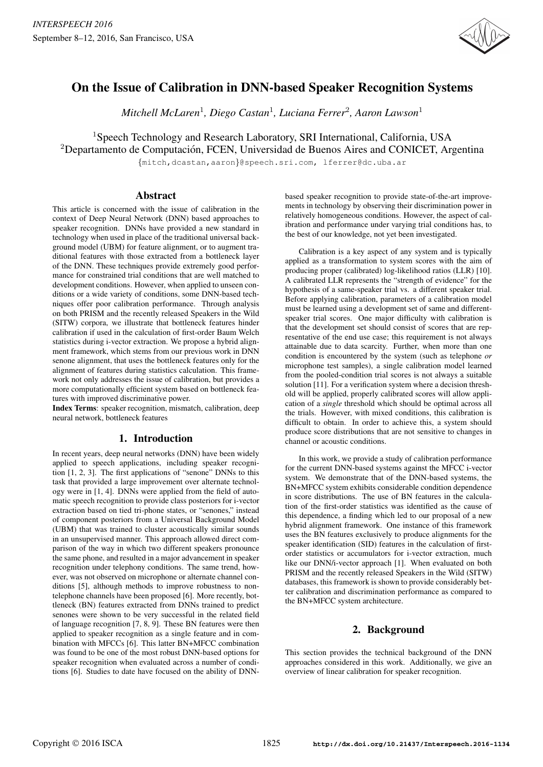

# On the Issue of Calibration in DNN-based Speaker Recognition Systems

*Mitchell McLaren*<sup>1</sup> *, Diego Castan*<sup>1</sup> *, Luciana Ferrer*<sup>2</sup> *, Aaron Lawson*<sup>1</sup>

<sup>1</sup>Speech Technology and Research Laboratory, SRI International, California, USA  $2$ Departamento de Computación, FCEN, Universidad de Buenos Aires and CONICET, Argentina

{mitch,dcastan,aaron}@speech.sri.com, lferrer@dc.uba.ar

## Abstract

This article is concerned with the issue of calibration in the context of Deep Neural Network (DNN) based approaches to speaker recognition. DNNs have provided a new standard in technology when used in place of the traditional universal background model (UBM) for feature alignment, or to augment traditional features with those extracted from a bottleneck layer of the DNN. These techniques provide extremely good performance for constrained trial conditions that are well matched to development conditions. However, when applied to unseen conditions or a wide variety of conditions, some DNN-based techniques offer poor calibration performance. Through analysis on both PRISM and the recently released Speakers in the Wild (SITW) corpora, we illustrate that bottleneck features hinder calibration if used in the calculation of first-order Baum Welch statistics during i-vector extraction. We propose a hybrid alignment framework, which stems from our previous work in DNN senone alignment, that uses the bottleneck features only for the alignment of features during statistics calculation. This framework not only addresses the issue of calibration, but provides a more computationally efficient system based on bottleneck features with improved discriminative power.

Index Terms: speaker recognition, mismatch, calibration, deep neural network, bottleneck features

# 1. Introduction

In recent years, deep neural networks (DNN) have been widely applied to speech applications, including speaker recognition [1, 2, 3]. The first applications of "senone" DNNs to this task that provided a large improvement over alternate technology were in [1, 4]. DNNs were applied from the field of automatic speech recognition to provide class posteriors for i-vector extraction based on tied tri-phone states, or "senones," instead of component posteriors from a Universal Background Model (UBM) that was trained to cluster acoustically similar sounds in an unsupervised manner. This approach allowed direct comparison of the way in which two different speakers pronounce the same phone, and resulted in a major advancement in speaker recognition under telephony conditions. The same trend, however, was not observed on microphone or alternate channel conditions [5], although methods to improve robustness to nontelephone channels have been proposed [6]. More recently, bottleneck (BN) features extracted from DNNs trained to predict senones were shown to be very successful in the related field of language recognition [7, 8, 9]. These BN features were then applied to speaker recognition as a single feature and in combination with MFCCs [6]. This latter BN+MFCC combination was found to be one of the most robust DNN-based options for speaker recognition when evaluated across a number of conditions [6]. Studies to date have focused on the ability of DNN- based speaker recognition to provide state-of-the-art improvements in technology by observing their discrimination power in relatively homogeneous conditions. However, the aspect of calibration and performance under varying trial conditions has, to the best of our knowledge, not yet been investigated.

Calibration is a key aspect of any system and is typically applied as a transformation to system scores with the aim of producing proper (calibrated) log-likelihood ratios (LLR) [10]. A calibrated LLR represents the "strength of evidence" for the hypothesis of a same-speaker trial vs. a different speaker trial. Before applying calibration, parameters of a calibration model must be learned using a development set of same and differentspeaker trial scores. One major difficulty with calibration is that the development set should consist of scores that are representative of the end use case; this requirement is not always attainable due to data scarcity. Further, when more than one condition is encountered by the system (such as telephone *or* microphone test samples), a single calibration model learned from the pooled-condition trial scores is not always a suitable solution [11]. For a verification system where a decision threshold will be applied, properly calibrated scores will allow application of a *single* threshold which should be optimal across all the trials. However, with mixed conditions, this calibration is difficult to obtain. In order to achieve this, a system should produce score distributions that are not sensitive to changes in channel or acoustic conditions.

In this work, we provide a study of calibration performance for the current DNN-based systems against the MFCC i-vector system. We demonstrate that of the DNN-based systems, the BN+MFCC system exhibits considerable condition dependence in score distributions. The use of BN features in the calculation of the first-order statistics was identified as the cause of this dependence, a finding which led to our proposal of a new hybrid alignment framework. One instance of this framework uses the BN features exclusively to produce alignments for the speaker identification (SID) features in the calculation of firstorder statistics or accumulators for i-vector extraction, much like our DNN/i-vector approach [1]. When evaluated on both PRISM and the recently released Speakers in the Wild (SITW) databases, this framework is shown to provide considerably better calibration and discrimination performance as compared to the BN+MFCC system architecture.

# 2. Background

This section provides the technical background of the DNN approaches considered in this work. Additionally, we give an overview of linear calibration for speaker recognition.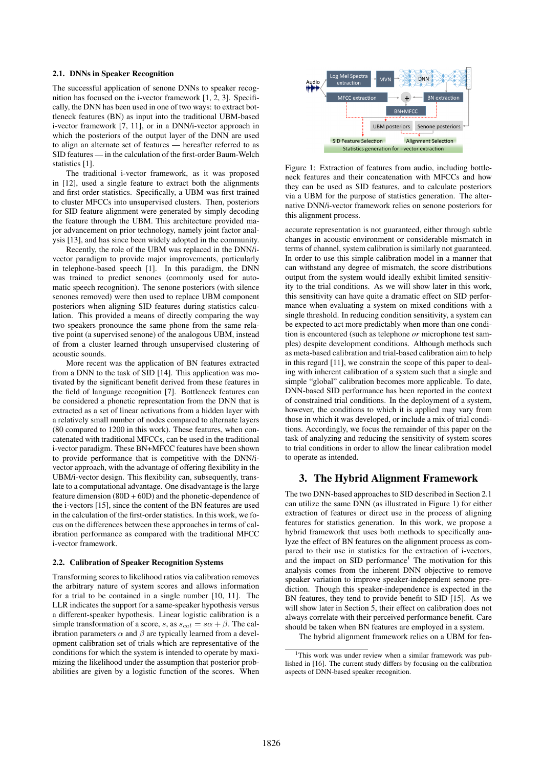#### 2.1. DNNs in Speaker Recognition

The successful application of senone DNNs to speaker recognition has focused on the i-vector framework [1, 2, 3]. Specifically, the DNN has been used in one of two ways: to extract bottleneck features (BN) as input into the traditional UBM-based i-vector framework [7, 11], or in a DNN/i-vector approach in which the posteriors of the output layer of the DNN are used to align an alternate set of features — hereafter referred to as SID features — in the calculation of the first-order Baum-Welch statistics [1].

The traditional i-vector framework, as it was proposed in [12], used a single feature to extract both the alignments and first order statistics. Specifically, a UBM was first trained to cluster MFCCs into unsupervised clusters. Then, posteriors for SID feature alignment were generated by simply decoding the feature through the UBM. This architecture provided major advancement on prior technology, namely joint factor analysis [13], and has since been widely adopted in the community.

Recently, the role of the UBM was replaced in the DNN/ivector paradigm to provide major improvements, particularly in telephone-based speech [1]. In this paradigm, the DNN was trained to predict senones (commonly used for automatic speech recognition). The senone posteriors (with silence senones removed) were then used to replace UBM component posteriors when aligning SID features during statistics calculation. This provided a means of directly comparing the way two speakers pronounce the same phone from the same relative point (a supervised senone) of the analogous UBM, instead of from a cluster learned through unsupervised clustering of acoustic sounds.

More recent was the application of BN features extracted from a DNN to the task of SID [14]. This application was motivated by the significant benefit derived from these features in the field of language recognition [7]. Bottleneck features can be considered a phonetic representation from the DNN that is extracted as a set of linear activations from a hidden layer with a relatively small number of nodes compared to alternate layers (80 compared to 1200 in this work). These features, when concatenated with traditional MFCCs, can be used in the traditional i-vector paradigm. These BN+MFCC features have been shown to provide performance that is competitive with the DNN/ivector approach, with the advantage of offering flexibility in the UBM/i-vector design. This flexibility can, subsequently, translate to a computational advantage. One disadvantage is the large feature dimension  $(80D + 60D)$  and the phonetic-dependence of the i-vectors [15], since the content of the BN features are used in the calculation of the first-order statistics. In this work, we focus on the differences between these approaches in terms of calibration performance as compared with the traditional MFCC i-vector framework.

#### 2.2. Calibration of Speaker Recognition Systems

Transforming scores to likelihood ratios via calibration removes the arbitrary nature of system scores and allows information for a trial to be contained in a single number [10, 11]. The LLR indicates the support for a same-speaker hypothesis versus a different-speaker hypothesis. Linear logistic calibration is a simple transformation of a score, s, as  $s_{cal} = s\alpha + \beta$ . The calibration parameters  $\alpha$  and  $\beta$  are typically learned from a development calibration set of trials which are representative of the conditions for which the system is intended to operate by maximizing the likelihood under the assumption that posterior probabilities are given by a logistic function of the scores. When



Figure 1: Extraction of features from audio, including bottleneck features and their concatenation with MFCCs and how they can be used as SID features, and to calculate posteriors via a UBM for the purpose of statistics generation. The alternative DNN/i-vector framework relies on senone posteriors for this alignment process.

accurate representation is not guaranteed, either through subtle changes in acoustic environment or considerable mismatch in terms of channel, system calibration is similarly not guaranteed. In order to use this simple calibration model in a manner that can withstand any degree of mismatch, the score distributions output from the system would ideally exhibit limited sensitivity to the trial conditions. As we will show later in this work, this sensitivity can have quite a dramatic effect on SID performance when evaluating a system on mixed conditions with a single threshold. In reducing condition sensitivity, a system can be expected to act more predictably when more than one condition is encountered (such as telephone *or* microphone test samples) despite development conditions. Although methods such as meta-based calibration and trial-based calibration aim to help in this regard [11], we constrain the scope of this paper to dealing with inherent calibration of a system such that a single and simple "global" calibration becomes more applicable. To date, DNN-based SID performance has been reported in the context of constrained trial conditions. In the deployment of a system, however, the conditions to which it is applied may vary from those in which it was developed, or include a mix of trial conditions. Accordingly, we focus the remainder of this paper on the task of analyzing and reducing the sensitivity of system scores to trial conditions in order to allow the linear calibration model to operate as intended.

#### 3. The Hybrid Alignment Framework

The two DNN-based approaches to SID described in Section 2.1 can utilize the same DNN (as illustrated in Figure 1) for either extraction of features or direct use in the process of aligning features for statistics generation. In this work, we propose a hybrid framework that uses both methods to specifically analyze the effect of BN features on the alignment process as compared to their use in statistics for the extraction of i-vectors, and the impact on SID performance<sup>1</sup> The motivation for this analysis comes from the inherent DNN objective to remove speaker variation to improve speaker-independent senone prediction. Though this speaker-independence is expected in the BN features, they tend to provide benefit to SID [15]. As we will show later in Section 5, their effect on calibration does not always correlate with their perceived performance benefit. Care should be taken when BN features are employed in a system.

The hybrid alignment framework relies on a UBM for fea-

<sup>&</sup>lt;sup>1</sup>This work was under review when a similar framework was published in [16]. The current study differs by focusing on the calibration aspects of DNN-based speaker recognition.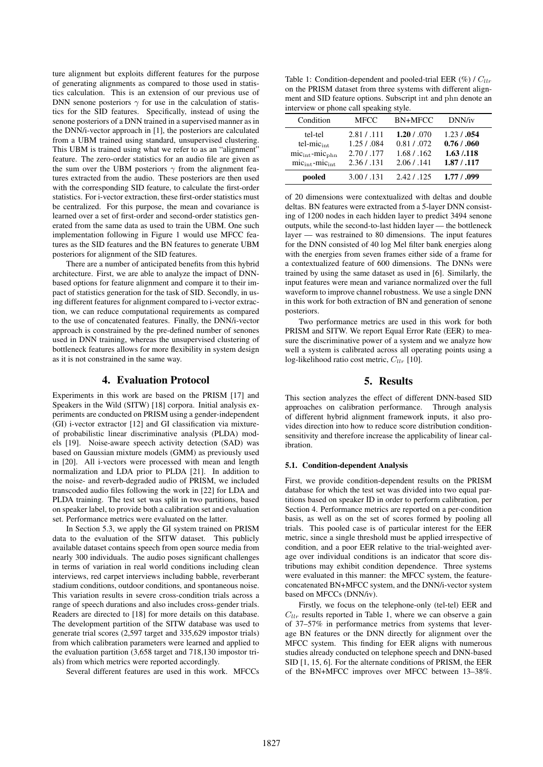ture alignment but exploits different features for the purpose of generating alignments as compared to those used in statistics calculation. This is an extension of our previous use of DNN senone posteriors  $\gamma$  for use in the calculation of statistics for the SID features. Specifically, instead of using the senone posteriors of a DNN trained in a supervised manner as in the DNN/i-vector approach in [1], the posteriors are calculated from a UBM trained using standard, unsupervised clustering. This UBM is trained using what we refer to as an "alignment" feature. The zero-order statistics for an audio file are given as the sum over the UBM posteriors  $\gamma$  from the alignment features extracted from the audio. These posteriors are then used with the corresponding SID feature, to calculate the first-order statistics. For i-vector extraction, these first-order statistics must be centralized. For this purpose, the mean and covariance is learned over a set of first-order and second-order statistics generated from the same data as used to train the UBM. One such implementation following in Figure 1 would use MFCC features as the SID features and the BN features to generate UBM posteriors for alignment of the SID features.

There are a number of anticipated benefits from this hybrid architecture. First, we are able to analyze the impact of DNNbased options for feature alignment and compare it to their impact of statistics generation for the task of SID. Secondly, in using different features for alignment compared to i-vector extraction, we can reduce computational requirements as compared to the use of concatenated features. Finally, the DNN/i-vector approach is constrained by the pre-defined number of senones used in DNN training, whereas the unsupervised clustering of bottleneck features allows for more flexibility in system design as it is not constrained in the same way.

## 4. Evaluation Protocol

Experiments in this work are based on the PRISM [17] and Speakers in the Wild (SITW) [18] corpora. Initial analysis experiments are conducted on PRISM using a gender-independent (GI) i-vector extractor [12] and GI classification via mixtureof probabilistic linear discriminative analysis (PLDA) models [19]. Noise-aware speech activity detection (SAD) was based on Gaussian mixture models (GMM) as previously used in [20]. All i-vectors were processed with mean and length normalization and LDA prior to PLDA [21]. In addition to the noise- and reverb-degraded audio of PRISM, we included transcoded audio files following the work in [22] for LDA and PLDA training. The test set was split in two partitions, based on speaker label, to provide both a calibration set and evaluation set. Performance metrics were evaluated on the latter.

In Section 5.3, we apply the GI system trained on PRISM data to the evaluation of the SITW dataset. This publicly available dataset contains speech from open source media from nearly 300 individuals. The audio poses significant challenges in terms of variation in real world conditions including clean interviews, red carpet interviews including babble, reverberant stadium conditions, outdoor conditions, and spontaneous noise. This variation results in severe cross-condition trials across a range of speech durations and also includes cross-gender trials. Readers are directed to [18] for more details on this database. The development partition of the SITW database was used to generate trial scores (2,597 target and 335,629 impostor trials) from which calibration parameters were learned and applied to the evaluation partition (3,658 target and 718,130 impostor trials) from which metrics were reported accordingly.

Several different features are used in this work. MFCCs

Table 1: Condition-dependent and pooled-trial EER  $(\%)$  /  $C_{llr}$ on the PRISM dataset from three systems with different alignment and SID feature options. Subscript int and phn denote an interview or phone call speaking style.

| Condition                              | <b>MFCC</b> | BN+MFCC      | DNN/iv      |
|----------------------------------------|-------------|--------------|-------------|
| tel-tel                                | 2.81 / .111 | 1.20 / .070  | 1.23 / .054 |
| $tel-mic_{int}$                        | 1.25 / .084 | 0.81 / 0.072 | 0.76 / .060 |
| $mic_{\text{int}}$ -mic <sub>phn</sub> | 2.70 / .177 | 1.68 / .162  | 1.63 / .118 |
| mic <sub>int</sub> -mic <sub>int</sub> | 2.36 / .131 | 2.06 / .141  | 1.87 / .117 |
| pooled                                 | 3.00 / 131  | 2.42 / 125   | 1.77/0.99   |

of 20 dimensions were contextualized with deltas and double deltas. BN features were extracted from a 5-layer DNN consisting of 1200 nodes in each hidden layer to predict 3494 senone outputs, while the second-to-last hidden layer — the bottleneck layer — was restrained to 80 dimensions. The input features for the DNN consisted of 40 log Mel filter bank energies along with the energies from seven frames either side of a frame for a contextualized feature of 600 dimensions. The DNNs were trained by using the same dataset as used in [6]. Similarly, the input features were mean and variance normalized over the full waveform to improve channel robustness. We use a single DNN in this work for both extraction of BN and generation of senone posteriors.

Two performance metrics are used in this work for both PRISM and SITW. We report Equal Error Rate (EER) to measure the discriminative power of a system and we analyze how well a system is calibrated across all operating points using a log-likelihood ratio cost metric,  $C_{llr}$  [10].

## 5. Results

This section analyzes the effect of different DNN-based SID approaches on calibration performance. Through analysis of different hybrid alignment framework inputs, it also provides direction into how to reduce score distribution conditionsensitivity and therefore increase the applicability of linear calibration.

#### 5.1. Condition-dependent Analysis

First, we provide condition-dependent results on the PRISM database for which the test set was divided into two equal partitions based on speaker ID in order to perform calibration, per Section 4. Performance metrics are reported on a per-condition basis, as well as on the set of scores formed by pooling all trials. This pooled case is of particular interest for the EER metric, since a single threshold must be applied irrespective of condition, and a poor EER relative to the trial-weighted average over individual conditions is an indicator that score distributions may exhibit condition dependence. Three systems were evaluated in this manner: the MFCC system, the featureconcatenated BN+MFCC system, and the DNN/i-vector system based on MFCCs (DNN/iv).

Firstly, we focus on the telephone-only (tel-tel) EER and  $Cl_{llr}$  results reported in Table 1, where we can observe a gain of 37–57% in performance metrics from systems that leverage BN features or the DNN directly for alignment over the MFCC system. This finding for EER aligns with numerous studies already conducted on telephone speech and DNN-based SID [1, 15, 6]. For the alternate conditions of PRISM, the EER of the BN+MFCC improves over MFCC between 13–38%.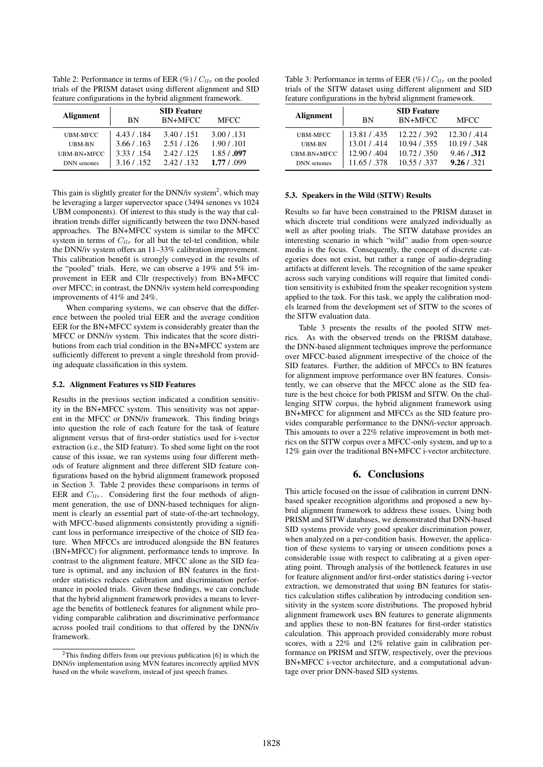Table 2: Performance in terms of EER  $(\%)/C_{llr}$  on the pooled trials of the PRISM dataset using different alignment and SID feature configurations in the hybrid alignment framework.

| Alignment          | <b>BN</b>    | <b>SID Feature</b><br>BN+MFCC | <b>MFCC</b>  |
|--------------------|--------------|-------------------------------|--------------|
| <b>UBM-MFCC</b>    | 4.43 / 184   | 3.40 / .151                   | 3.00 / 131   |
| UBM-BN             | 3.66 / 0.163 | 2.51 / 126                    | 1.90 / 0.101 |
| UBM-BN+MFCC        | 3.33/.154    | 2.42 / 125                    | 1.85 / .097  |
| <b>DNN</b> senones | 3.16 / .152  | 2.42.1.132                    | 1.77/0.99    |

This gain is slightly greater for the DNN/iv system<sup>2</sup>, which may be leveraging a larger supervector space (3494 senones vs 1024 UBM components). Of interest to this study is the way that calibration trends differ significantly between the two DNN-based approaches. The BN+MFCC system is similar to the MFCC system in terms of  $C_{llr}$  for all but the tel-tel condition, while the DNN/iv system offers an 11–33% calibration improvement. This calibration benefit is strongly conveyed in the results of the "pooled" trials. Here, we can observe a 19% and 5% improvement in EER and Cllr (respectively) from BN+MFCC over MFCC; in contrast, the DNN/iv system held corresponding improvements of 41% and 24%.

When comparing systems, we can observe that the difference between the pooled trial EER and the average condition EER for the BN+MFCC system is considerably greater than the MFCC or DNN/iv system. This indicates that the score distributions from each trial condition in the BN+MFCC system are sufficiently different to prevent a single threshold from providing adequate classification in this system.

#### 5.2. Alignment Features vs SID Features

Results in the previous section indicated a condition sensitivity in the BN+MFCC system. This sensitivity was not apparent in the MFCC or DNN/iv framework. This finding brings into question the role of each feature for the task of feature alignment versus that of first-order statistics used for i-vector extraction (i.e., the SID feature). To shed some light on the root cause of this issue, we ran systems using four different methods of feature alignment and three different SID feature configurations based on the hybrid alignment framework proposed in Section 3. Table 2 provides these comparisons in terms of EER and  $C_{llr}$ . Considering first the four methods of alignment generation, the use of DNN-based techniques for alignment is clearly an essential part of state-of-the-art technology, with MFCC-based alignments consistently providing a significant loss in performance irrespective of the choice of SID feature. When MFCCs are introduced alongside the BN features (BN+MFCC) for alignment, performance tends to improve. In contrast to the alignment feature, MFCC alone as the SID feature is optimal, and any inclusion of BN features in the firstorder statistics reduces calibration and discrimination performance in pooled trials. Given these findings, we can conclude that the hybrid alignment framework provides a means to leverage the benefits of bottleneck features for alignment while providing comparable calibration and discriminative performance across pooled trail conditions to that offered by the DNN/iv framework.

Table 3: Performance in terms of EER  $(\%)/C_{llr}$  on the pooled trials of the SITW dataset using different alignment and SID feature configurations in the hybrid alignment framework.

| <b>Alignment</b>   | <b>BN</b>    | <b>SID Feature</b><br>BN+MFCC | <b>MFCC</b>  |
|--------------------|--------------|-------------------------------|--------------|
| <b>UBM-MFCC</b>    | 13.81 / 435  | 12.22 / .392                  | 12.30 / .414 |
| UBM-BN             | 13.01 / 414  | 10.94 / 355                   | 10.19 / .348 |
| UBM-BN+MFCC        | 12.90 / .404 | 10.72 / .350                  | 9.46 / .312  |
| <b>DNN</b> senones | 11.65 / .378 | 10.55 / .337                  | 9.26 / 321   |

#### 5.3. Speakers in the Wild (SITW) Results

Results so far have been constrained to the PRISM dataset in which discrete trial conditions were analyzed individually as well as after pooling trials. The SITW database provides an interesting scenario in which "wild" audio from open-source media is the focus. Consequently, the concept of discrete categories does not exist, but rather a range of audio-degrading artifacts at different levels. The recognition of the same speaker across such varying conditions will require that limited condition sensitivity is exhibited from the speaker recognition system applied to the task. For this task, we apply the calibration models learned from the development set of SITW to the scores of the SITW evaluation data.

Table 3 presents the results of the pooled SITW metrics. As with the observed trends on the PRISM database, the DNN-based alignment techniques improve the performance over MFCC-based alignment irrespective of the choice of the SID features. Further, the addition of MFCCs to BN features for alignment improve performance over BN features. Consistently, we can observe that the MFCC alone as the SID feature is the best choice for both PRISM and SITW. On the challenging SITW corpus, the hybrid alignment framework using BN+MFCC for alignment and MFCCs as the SID feature provides comparable performance to the DNN/i-vector approach. This amounts to over a 22% relative improvement in both metrics on the SITW corpus over a MFCC-only system, and up to a 12% gain over the traditional BN+MFCC i-vector architecture.

#### 6. Conclusions

This article focused on the issue of calibration in current DNNbased speaker recognition algorithms and proposed a new hybrid alignment framework to address these issues. Using both PRISM and SITW databases, we demonstrated that DNN-based SID systems provide very good speaker discrimination power, when analyzed on a per-condition basis. However, the application of these systems to varying or unseen conditions poses a considerable issue with respect to calibrating at a given operating point. Through analysis of the bottleneck features in use for feature alignment and/or first-order statistics during i-vector extraction, we demonstrated that using BN features for statistics calculation stifles calibration by introducing condition sensitivity in the system score distributions. The proposed hybrid alignment framework uses BN features to generate alignments and applies these to non-BN features for first-order statistics calculation. This approach provided considerably more robust scores, with a 22% and 12% relative gain in calibration performance on PRISM and SITW, respectively, over the previous BN+MFCC i-vector architecture, and a computational advantage over prior DNN-based SID systems.

 $2$ This finding differs from our previous publication [6] in which the DNN/iv implementation using MVN features incorrectly applied MVN based on the whole waveform, instead of just speech frames.